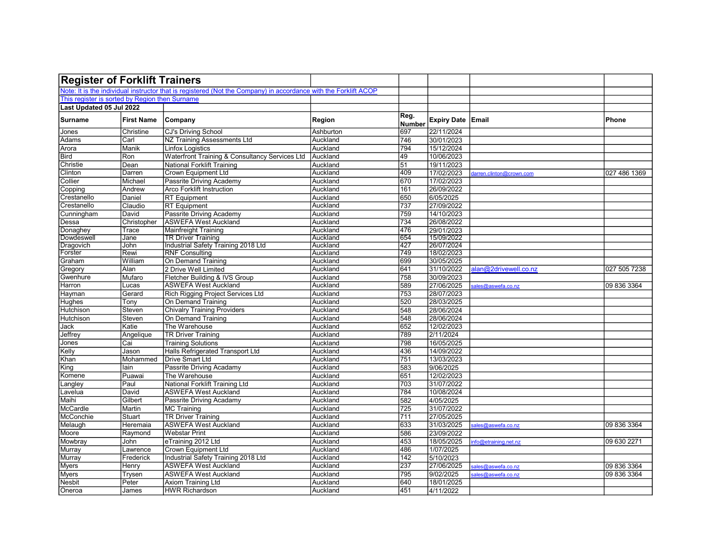| <b>Register of Forklift Trainers</b>           |                   |                                                                                                                 |           |                       |                   |                          |              |
|------------------------------------------------|-------------------|-----------------------------------------------------------------------------------------------------------------|-----------|-----------------------|-------------------|--------------------------|--------------|
|                                                |                   | Note: It is the individual instructor that is registered (Not the Company) in accordance with the Forklift ACOP |           |                       |                   |                          |              |
| This register is sorted by Region then Surname |                   |                                                                                                                 |           |                       |                   |                          |              |
| Last Updated 05 Jul 2022                       |                   |                                                                                                                 |           |                       |                   |                          |              |
| <b>Surname</b>                                 | <b>First Name</b> | <b>Company</b>                                                                                                  | Region    | Reg.<br><b>Number</b> | Expiry Date Email |                          | Phone        |
| Jones                                          | Christine         | <b>CJ's Driving School</b>                                                                                      | Ashburton | 697                   | 22/11/2024        |                          |              |
| Adams                                          | Carl              | NZ Training Assessments Ltd                                                                                     | Auckland  | 746                   | 30/01/2023        |                          |              |
| Arora                                          | Manik             | <b>Linfox Logistics</b>                                                                                         | Auckland  | 794                   | 15/12/2024        |                          |              |
| Bird                                           | Ron               | Waterfront Training & Consultancy Services Ltd                                                                  | Auckland  | 49                    | 10/06/2023        |                          |              |
| Christie                                       | Dean              | National Forklift Training                                                                                      | Auckland  | 51                    | 19/11/2023        |                          |              |
| Clinton                                        | Darren            | Crown Equipment Ltd                                                                                             | Auckland  | 409                   | 17/02/2023        | larren.clinton@crown.com | 027 486 1369 |
| Collier                                        | Michael           | Passrite Driving Academy                                                                                        | Auckland  | 670                   | 17/02/2023        |                          |              |
| Copping                                        | Andrew            | <b>Arco Forklift Instruction</b>                                                                                | Auckland  | 161                   | 26/09/2022        |                          |              |
| Crestanello                                    | Daniel            | <b>RT</b> Equipment                                                                                             | Auckland  | 650                   | 6/05/2025         |                          |              |
| Crestanello                                    | Claudio           | <b>RT</b> Equipment                                                                                             | Auckland  | 737                   | 27/09/2022        |                          |              |
| Cunningham                                     | David             | Passrite Driving Academy                                                                                        | Auckland  | 759                   | 14/10/2023        |                          |              |
| Dessa                                          | Christopher       | <b>ASWEFA West Auckland</b>                                                                                     | Auckland  | 734                   | 26/08/2022        |                          |              |
| Donaghey                                       | Trace             | Mainfreight Training                                                                                            | Auckland  | 476                   | 29/01/2023        |                          |              |
| Dowdeswell                                     | Jane              | <b>TR Driver Training</b>                                                                                       | Auckland  | 654                   | 15/09/2022        |                          |              |
| Dragovich                                      | John              | Industrial Safety Training 2018 Ltd                                                                             | Auckland  | 427                   | 26/07/2024        |                          |              |
| Forster                                        | Rewi              | <b>RNF Consulting</b>                                                                                           | Auckland  | 749                   | 18/02/2023        |                          |              |
| Graham                                         | William           | On Demand Training                                                                                              | Auckland  | 699                   | 30/05/2025        |                          |              |
| Gregory                                        | Alan              | 2 Drive Well Limited                                                                                            | Auckland  | 641                   | 31/10/2022        | alan@2drivewell.co.nz    | 027 505 7238 |
| Gwenhure                                       | Mufaro            | Fletcher Building & IVS Group                                                                                   | Auckland  | 758                   | 30/09/2023        |                          |              |
| Harron                                         | Lucas             | <b>ASWEFA West Auckland</b>                                                                                     | Auckland  | 589                   | 27/06/2025        | ales@aswefa.co.nz        | 09 836 3364  |
| Hayman                                         | Gerard            | <b>Rich Rigging Project Services Ltd</b>                                                                        | Auckland  | 753                   | 28/07/2023        |                          |              |
| Hughes                                         | Tony              | On Demand Training                                                                                              | Auckland  | 520                   | 28/03/2025        |                          |              |
| Hutchison                                      | Steven            | <b>Chivalry Training Providers</b>                                                                              | Auckland  | 548                   | 28/06/2024        |                          |              |
| Hutchison                                      | Steven            | On Demand Training                                                                                              | Auckland  | 548                   | 28/06/2024        |                          |              |
| Jack                                           | Katie             | The Warehouse                                                                                                   | Auckland  | 652                   | 12/02/2023        |                          |              |
| Jeffrey                                        | Angelique         | <b>TR Driver Training</b>                                                                                       | Auckland  | 789                   | 2/11/2024         |                          |              |
| Jones                                          | Cai               | <b>Training Solutions</b>                                                                                       | Auckland  | 798                   | 16/05/2025        |                          |              |
| Kelly                                          | Jason             | Halls Refrigerated Transport Ltd                                                                                | Auckland  | 436                   | 14/09/2022        |                          |              |
| Khan                                           | Mohammed          | <b>Drive Smart Ltd</b>                                                                                          | Auckland  | 751                   | 13/03/2023        |                          |              |
| King                                           | lain              | Passrite Driving Acadamy                                                                                        | Auckland  | 583                   | 9/06/2025         |                          |              |
| Komene                                         | Puawai            | The Warehouse                                                                                                   | Auckland  | 651                   | 12/02/2023        |                          |              |
| Langley                                        | Paul              | National Forklift Training Ltd                                                                                  | Auckland  | 703                   | 31/07/2022        |                          |              |
| Lavelua                                        | David             | <b>ASWEFA West Auckland</b>                                                                                     | Auckland  | 784                   | 10/08/2024        |                          |              |
| Maihi                                          | Gilbert           | Passrite Driving Acadamy                                                                                        | Auckland  | 582                   | 4/05/2025         |                          |              |
| McCardle                                       | Martin            | MC Training                                                                                                     | Auckland  | 725                   | 31/07/2022        |                          |              |
| McConchie                                      | Stuart            | <b>TR Driver Training</b>                                                                                       | Auckland  | 711                   | 27/05/2025        |                          |              |
| Melaugh                                        | Heremaia          | <b>ASWEFA West Auckland</b>                                                                                     | Auckland  | 633                   | 31/03/2025        | ales@aswefa.co.nz        | 09 836 3364  |
| Moore                                          | Raymond           | <b>Webstar Print</b>                                                                                            | Auckland  | 586                   | 23/09/2022        |                          |              |
| Mowbray                                        | John              | eTraining 2012 Ltd                                                                                              | Auckland  | 453                   | 18/05/2025        | nfo@etraining.net.nz     | 09 630 2271  |
| Murray                                         | Lawrence          | Crown Equipment Ltd                                                                                             | Auckland  | 486                   | 1/07/2025         |                          |              |
| Murray                                         | Frederick         | Industrial Safety Training 2018 Ltd                                                                             | Auckland  | 142                   | 5/10/2023         |                          |              |
| <b>Myers</b>                                   | Henry             | <b>ASWEFA West Auckland</b>                                                                                     | Auckland  | 237                   | 27/06/2025        | ales@aswefa.co.nz        | 09 836 3364  |
| Myers                                          | Trysen            | <b>ASWEFA West Auckland</b>                                                                                     | Auckland  | 795                   | 9/02/2025         | ales@aswefa.co.nz        | 09 836 3364  |
| <b>Nesbit</b>                                  | Peter             | <b>Axiom Training Ltd</b>                                                                                       | Auckland  | 640                   | 18/01/2025        |                          |              |
| Oneroa                                         | James             | <b>HWR Richardson</b>                                                                                           | Auckland  | 451                   | 4/11/2022         |                          |              |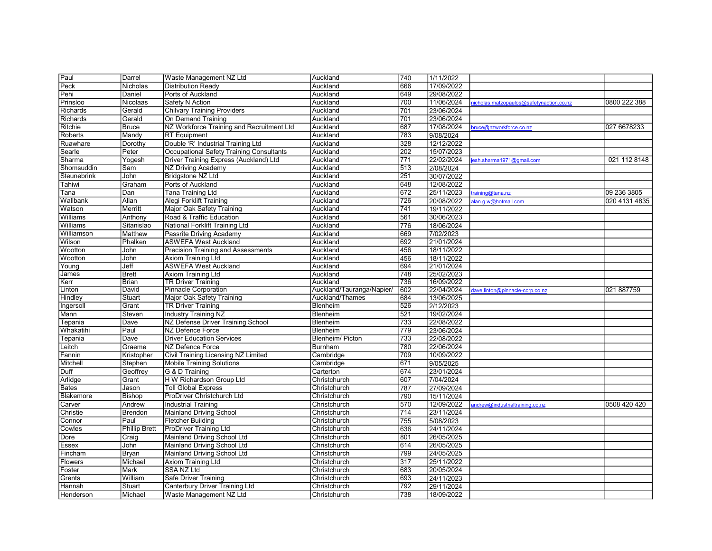| Paul               | Darrel               | Waste Management NZ Ltd                   | Auckland                  | 740 | 1/11/2022  |                                         |               |
|--------------------|----------------------|-------------------------------------------|---------------------------|-----|------------|-----------------------------------------|---------------|
| Peck               | Nicholas             | <b>Distribution Ready</b>                 | Auckland                  | 666 | 17/09/2022 |                                         |               |
| Pehi               | Daniel               | Ports of Auckland                         | Auckland                  | 649 | 29/08/2022 |                                         |               |
| Prinsloo           | <b>Nicolaas</b>      | Safety N Action                           | Auckland                  | 700 | 11/06/2024 | icholas.matzopaulos@safetynaction.co.nz | 0800 222 388  |
| Richards           | Gerald               | <b>Chilvary Training Providers</b>        | Auckland                  | 701 | 23/06/2024 |                                         |               |
| Richards           | Gerald               | On Demand Training                        | Auckland                  | 701 | 23/06/2024 |                                         |               |
| Ritchie            | <b>Bruce</b>         | NZ Workforce Training and Recruitment Ltd | Auckland                  | 687 | 17/08/2024 | oruce@nzworkforce.co.nz                 | 027 6678233   |
| Roberts            | Mandy                | <b>RT</b> Equipment                       | Auckland                  | 783 | 9/08/2024  |                                         |               |
| Ruawhare           | Dorothy              | Double 'R' Industrial Training Ltd        | Auckland                  | 328 | 12/12/2022 |                                         |               |
| Searle             | Peter                | Occupational Safety Training Consultants  | Auckland                  | 202 | 15/07/2023 |                                         |               |
| Sharma             | Yogesh               | Driver Training Express (Auckland) Ltd    | Auckland                  | 771 | 22/02/2024 | sh.sharma1971@gmail.com                 | 021 112 8148  |
| Shomsuddin         | Sam                  | <b>NZ Driving Academy</b>                 | Auckland                  | 513 | 2/08/2024  |                                         |               |
| <b>Steunebrink</b> | John                 | Bridgstone NZ Ltd                         | Auckland                  | 251 | 30/07/2022 |                                         |               |
| Tahiwi             | Graham               | Ports of Auckland                         | Auckland                  | 648 | 12/08/2022 |                                         |               |
| Tana               | Dan                  | Tana Training Ltd                         | Auckland                  | 672 | 25/11/2023 | raining@tana.nz                         | 09 236 3805   |
| Wallbank           | Allan                | Alegi Forklift Training                   | Auckland                  | 726 | 20/08/2022 | lan.g.w@hotmail.com                     | 020 4131 4835 |
| Watson             | Merritt              | Major Oak Safety Training                 | Auckland                  | 741 | 19/11/2022 |                                         |               |
| Williams           | Anthony              | Road & Traffic Education                  | Auckland                  | 561 | 30/06/2023 |                                         |               |
| Williams           | Sitanislao           | National Forklift Training Ltd            | Auckland                  | 776 | 18/06/2024 |                                         |               |
| Williamson         | Matthew              | Passrite Driving Academy                  | Auckland                  | 669 | 7/02/2023  |                                         |               |
| Wilson             | Phalken              | <b>ASWEFA West Auckland</b>               | Auckland                  | 692 | 21/01/2024 |                                         |               |
| Wootton            | John                 | Precision Training and Assessments        | Auckland                  | 456 | 18/11/2022 |                                         |               |
| Wootton            | John                 | <b>Axiom Training Ltd</b>                 | Auckland                  | 456 | 18/11/2022 |                                         |               |
| Young              | Jeff                 | <b>ASWEFA West Auckland</b>               | Auckland                  | 694 | 21/01/2024 |                                         |               |
| James              | <b>Brett</b>         | <b>Axiom Training Ltd</b>                 | Auckland                  | 748 | 25/02/2023 |                                         |               |
| Kerr               | Brian                | <b>TR Driver Training</b>                 | Auckland                  | 736 | 16/09/2022 |                                         |               |
| Linton             | David                | <b>Pinnacle Corporation</b>               | Auckland/Tauranga/Napier/ | 602 | 22/04/2024 | lave.linton@pinnacle-corp.co.nz         | 021 887759    |
| Hindley            | Stuart               | Major Oak Safety Training                 | Auckland/Thames           | 684 | 13/06/2025 |                                         |               |
| Ingersoll          | Grant                | <b>TR Driver Training</b>                 | Blenheim                  | 526 | 2/12/2023  |                                         |               |
| Mann               | Steven               | <b>Industry Training NZ</b>               | Blenheim                  | 521 | 19/02/2024 |                                         |               |
| Tepania            | Dave                 | NZ Defense Driver Training School         | <b>Blenheim</b>           | 733 | 22/08/2022 |                                         |               |
| Whakatihi          | Paul                 | NZ Defence Force                          | Blenheim                  | 779 | 23/06/2024 |                                         |               |
| Tepania            | Dave                 | <b>Driver Education Services</b>          | Blenheim/ Picton          | 733 | 22/08/2022 |                                         |               |
| Leitch             | Graeme               | NZ Defence Force                          | <b>Burnham</b>            | 780 | 22/06/2024 |                                         |               |
| Fannin             | Kristopher           | Civil Training Licensing NZ Limited       | Cambridge                 | 709 | 10/09/2022 |                                         |               |
| Mitchell           | Stephen              | <b>Mobile Training Solutions</b>          | Cambridge                 | 671 | 9/05/2025  |                                         |               |
| Duff               | Geoffrey             | G & D Training                            | Carterton                 | 674 | 23/01/2024 |                                         |               |
| Arlidge            | Grant                | H W Richardson Group Ltd                  | Christchurch              | 607 | 7/04/2024  |                                         |               |
|                    | Jason                | <b>Toll Global Express</b>                | Christchurch              | 787 | 27/09/2024 |                                         |               |
| <b>Bates</b>       |                      |                                           |                           |     |            |                                         |               |
| Blakemore          | <b>Bishop</b>        | ProDriver Christchurch Ltd                | Christchurch              | 790 | 15/11/2024 |                                         |               |
| Carver             | Andrew               | <b>Industrial Training</b>                | Christchurch              | 570 | 12/09/2022 | andrew@industrialtraining.co.nz         | 0508 420 420  |
| Christie           | Brendon              | <b>Mainland Driving School</b>            | Christchurch              | 714 | 23/11/2024 |                                         |               |
| Connor             | Paul                 | <b>Fletcher Building</b>                  | Christchurch              | 755 | 5/08/2023  |                                         |               |
| Cowles             | <b>Phillip Brett</b> | <b>ProDriver Training Ltd</b>             | Christchurch              | 636 | 24/11/2024 |                                         |               |
| Dore               | Craig                | Mainland Driving School Ltd               | Christchurch              | 801 | 26/05/2025 |                                         |               |
| Essex              | John                 | Mainland Driving School Ltd               | Christchurch              | 614 | 26/05/2025 |                                         |               |
| Fincham            | Bryan                | <b>Mainland Driving School Ltd</b>        | Christchurch              | 799 | 24/05/2025 |                                         |               |
| <b>Flowers</b>     | Michael              | <b>Axiom Training Ltd</b>                 | Christchurch              | 317 | 25/11/2022 |                                         |               |
| Foster             | Mark                 | SSA NZ Ltd                                | Christchurch              | 683 | 20/05/2024 |                                         |               |
| Grents             | William              | Safe Driver Training                      | Christchurch              | 693 | 24/11/2023 |                                         |               |
| Hannah             | Stuart               | Canterbury Driver Training Ltd            | Christchurch              | 792 | 29/11/2024 |                                         |               |
| Henderson          | Michael              | Waste Management NZ Ltd                   | Christchurch              | 738 | 18/09/2022 |                                         |               |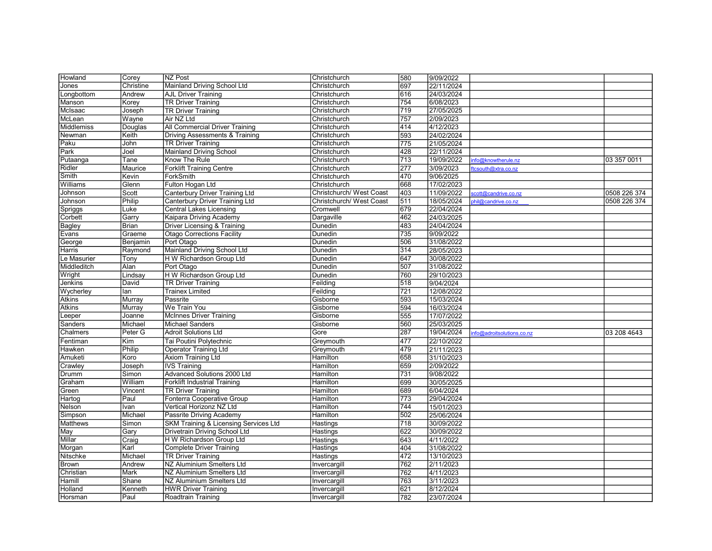| Howland         | Corey        | <b>NZ Post</b>                            | Christchurch             | 580              | 9/09/2022  |                           |              |
|-----------------|--------------|-------------------------------------------|--------------------------|------------------|------------|---------------------------|--------------|
| Jones           | Christine    | Mainland Driving School Ltd               | Christchurch             | 697              | 22/11/2024 |                           |              |
| Longbottom      | Andrew       | <b>AJL Driver Training</b>                | Christchurch             | 616              | 24/03/2024 |                           |              |
| Manson          | Korey        | <b>TR Driver Training</b>                 | Christchurch             | $\overline{754}$ | 6/08/2023  |                           |              |
| McIsaac         | Joseph       | <b>TR Driver Training</b>                 | Christchurch             | 719              | 27/05/2025 |                           |              |
| McLean          | Wayne        | Air NZ Ltd                                | Christchurch             | 757              | 2/09/2023  |                           |              |
| Middlemiss      | Douglas      | <b>All Commercial Driver Training</b>     | Christchurch             | 414              | 4/12/2023  |                           |              |
| Newman          | Keith        | <b>Driving Assessments &amp; Training</b> | Christchurch             | 593              | 24/02/2024 |                           |              |
| Paku            | John         | <b>TR Driver Training</b>                 | Christchurch             | $\overline{775}$ | 21/05/2024 |                           |              |
| Park            | Joel         | <b>Mainland Driving School</b>            | Christchurch             | 428              | 22/11/2024 |                           |              |
| Putaanga        | Tane         | Know The Rule                             | Christchurch             | $\overline{713}$ | 19/09/2022 | info@knowtherule.nz       | 03 357 0011  |
| Ridler          | Maurice      | <b>Forklift Training Centre</b>           | Christchurch             | $\overline{277}$ | 3/09/2023  | ftcsouth@xtra.co.nz       |              |
| Smith           | Kevin        | ForkSmith                                 | Christchurch             | 470              | 9/06/2025  |                           |              |
| <b>Williams</b> | Glenn        | Fulton Hogan Ltd                          | Christchurch             | 668              | 17/02/2023 |                           |              |
| Johnson         | Scott        | Canterbury Driver Training Ltd            | Christchurch/ West Coast | 403              | 11/09/2022 | cott@candrive.co.nz       | 0508 226 374 |
| Johnson         | Philip       | Canterbury Driver Training Ltd            | Christchurch/ West Coast | 511              | 18/05/2024 | hil@candrive.co.nz        | 0508 226 374 |
| Spriggs         | Luke         | Central Lakes Licensing                   | Cromwell                 | 679              | 22/04/2024 |                           |              |
| Corbett         | Garry        | Kaipara Driving Academy                   | Dargaville               | 462              | 24/03/2025 |                           |              |
| Bagley          | <b>Brian</b> | <b>Driver Licensing &amp; Training</b>    | Dunedin                  | 483              | 24/04/2024 |                           |              |
| Evans           | Graeme       | <b>Otago Corrections Facility</b>         | Dunedin                  | $\overline{735}$ | 9/09/2022  |                           |              |
| George          | Benjamin     | Port Otago                                | Dunedin                  | 506              | 31/08/2022 |                           |              |
| Harris          | Raymond      | Mainland Driving School Ltd               | Dunedin                  | 314              | 28/05/2023 |                           |              |
| Le Masurier     | Tony         | H W Richardson Group Ltd                  | Dunedin                  | 647              | 30/08/2022 |                           |              |
| Middleditch     | Alan         | Port Otago                                | Dunedin                  | 507              | 31/08/2022 |                           |              |
| Wright          | Lindsay      | H W Richardson Group Ltd                  | Dunedin                  | 760              | 29/10/2023 |                           |              |
| Jenkins         | David        | <b>TR Driver Training</b>                 | Feilding                 | 518              | 9/04/2024  |                           |              |
| Wycherley       | lan          | <b>Trainex Limited</b>                    | Feilding                 | 721              | 12/08/2022 |                           |              |
| Atkins          | Murray       | Passrite                                  | Gisborne                 | 593              | 15/03/2024 |                           |              |
| Atkins          | Murray       | We Train You                              | Gisborne                 | 594              | 16/03/2024 |                           |              |
| Leeper          | Joanne       | <b>McInnes Driver Training</b>            | Gisborne                 | 555              | 17/07/2022 |                           |              |
| Sanders         | Michael      | Michael Sanders                           | Gisborne                 | 560              | 25/03/2025 |                           |              |
| Chalmers        | Peter G      | <b>Adroit Solutions Ltd</b>               | Gore                     | 287              | 19/04/2024 | nfo@adroitsolutions.co.nz | 03 208 4643  |
| Fentiman        | Kim          | Tai Poutini Polytechnic                   | Greymouth                | 477              | 22/10/2022 |                           |              |
| Hawken          | Philip       | <b>Operator Training Ltd</b>              | Greymouth                | 479              | 21/11/2023 |                           |              |
| Amuketi         | Koro         | <b>Axiom Training Ltd</b>                 | Hamilton                 | 658              | 31/10/2023 |                           |              |
| Crawley         | Joseph       | <b>IVS Training</b>                       | Hamilton                 | 659              | 2/09/2022  |                           |              |
| Drumm           | Simon        | Advanced Solutions 2000 Ltd               | Hamilton                 | 731              | 9/08/2022  |                           |              |
| Graham          | William      | <b>Forklift Industrial Training</b>       | Hamilton                 | 699              | 30/05/2025 |                           |              |
| Green           | Vincent      | <b>TR Driver Training</b>                 | Hamilton                 | 689              | 6/04/2024  |                           |              |
| Hartog          | Paul         | Fonterra Cooperative Group                | Hamilton                 | $\overline{773}$ | 29/04/2024 |                           |              |
| Nelson          | Ivan         | Vertical Horizonz NZ Ltd                  | Hamilton                 | 744              | 15/01/2023 |                           |              |
| Simpson         | Michael      | Passrite Driving Academy                  | Hamilton                 | 502              | 25/06/2024 |                           |              |
| <b>Matthews</b> | Simon        | SKM Training & Licensing Services Ltd     | Hastings                 | $\overline{718}$ | 30/09/2022 |                           |              |
| May             | Gary         | Drivetrain Driving School Ltd             | Hastings                 | 622              | 30/09/2022 |                           |              |
| Millar          | Craig        | H W Richardson Group Ltd                  | Hastings                 | 643              | 4/11/2022  |                           |              |
| Morgan          | Karl         | Complete Driver Training                  | Hastings                 | 404              | 31/08/2022 |                           |              |
| Nitschke        | Michael      | <b>TR Driver Training</b>                 | Hastings                 | 472              | 13/10/2023 |                           |              |
| <b>Brown</b>    | Andrew       | NZ Aluminium Smelters Ltd                 | Invercargill             | 762              | 2/11/2023  |                           |              |
| Christian       | Mark         | NZ Aluminium Smelters Ltd                 | Invercargill             | 762              | 4/11/2023  |                           |              |
| Hamill          | Shane        | NZ Aluminium Smelters Ltd                 | Invercargill             | 763              | 3/11/2023  |                           |              |
| Holland         | Kenneth      | <b>HWR Driver Training</b>                | Invercargill             | 621              | 8/12/2024  |                           |              |
| Horsman         | Paul         | Roadtrain Training                        | Invercargill             | 782              | 23/07/2024 |                           |              |
|                 |              |                                           |                          |                  |            |                           |              |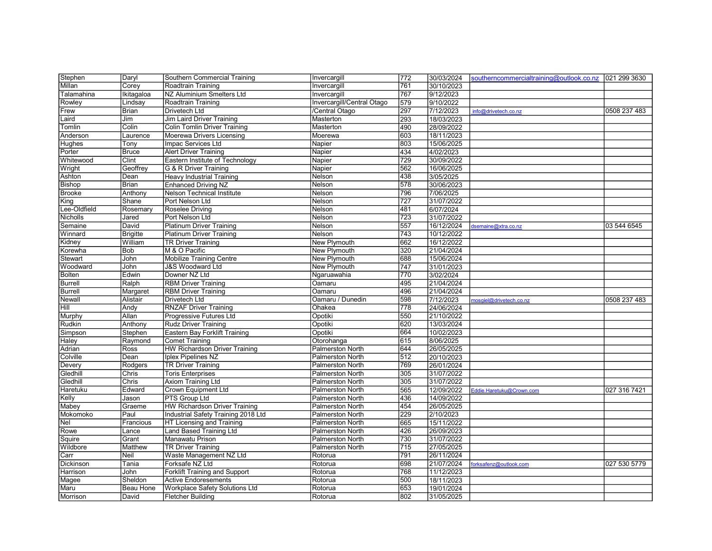| Stephen        | Daryl           | Southern Commercial Training         | Invercargill               | 772 | 30/03/2024 | southerncommercialtraining@outlook.co.nz   021 299 3630 |              |
|----------------|-----------------|--------------------------------------|----------------------------|-----|------------|---------------------------------------------------------|--------------|
| Millan         | Corey           | Roadtrain Training                   | Invercargill               | 761 | 30/10/2023 |                                                         |              |
| Talamahina     | Ikitagaloa      | NZ Aluminium Smelters Ltd            | Invercargill               | 767 | 9/12/2023  |                                                         |              |
| Rowley         | Lindsay         | Roadtrain Training                   | Invercargill/Central Otago | 579 | 9/10/2022  |                                                         |              |
| Frew           | Brian           | <b>Drivetech Ltd</b>                 | /Central Otago             | 297 | 7/12/2023  | info@drivetech.co.nz                                    | 0508 237 483 |
| Laird          | Jim             | Jim Laird Driver Training            | Masterton                  | 293 | 18/03/2023 |                                                         |              |
| Tomlin         | Colin           | <b>Colin Tomlin Driver Training</b>  | Masterton                  | 490 | 28/09/2022 |                                                         |              |
| Anderson       | Laurence        | Moerewa Drivers Licensing            | Moerewa                    | 603 | 18/11/2023 |                                                         |              |
| Hughes         | Tony            | Impac Services Ltd                   | Napier                     | 803 | 15/06/2025 |                                                         |              |
| Porter         | <b>Bruce</b>    | <b>Alert Driver Training</b>         | Napier                     | 434 | 4/02/2023  |                                                         |              |
| Whitewood      | Clint           | Eastern Institute of Technology      | Napier                     | 729 | 30/09/2022 |                                                         |              |
| Wright         | Geoffrey        | G & R Driver Training                | Napier                     | 562 | 16/06/2025 |                                                         |              |
| Ashton         | Dean            | <b>Heavy Industrial Training</b>     | Nelson                     | 438 | 3/05/2025  |                                                         |              |
| Bishop         | Brian           | <b>Enhanced Driving NZ</b>           | Nelson                     | 578 | 30/06/2023 |                                                         |              |
| Brooke         | Anthony         | Nelson Technical Institute           | Nelson                     | 796 | 7/06/2025  |                                                         |              |
| King           | Shane           | Port Nelson Ltd                      | Nelson                     | 727 | 31/07/2022 |                                                         |              |
| Lee-Oldfield   | Rosemary        | Roselee Driving                      | Nelson                     | 481 | 6/07/2024  |                                                         |              |
| Nicholls       | Jared           | Port Nelson Ltd                      | Nelson                     | 723 | 31/07/2022 |                                                         |              |
| Semaine        | David           | <b>Platinum Driver Training</b>      | Nelson                     | 557 | 16/12/2024 | dsemaine@xtra.co.nz                                     | 03 544 6545  |
| Winnard        | <b>Brigitte</b> | <b>Platinum Driver Training</b>      | Nelson                     | 743 | 10/12/2022 |                                                         |              |
| Kidney         | William         | <b>TR Driver Training</b>            | New Plymouth               | 662 | 16/12/2022 |                                                         |              |
| Korewha        | Bob             | M & O Pacific                        | New Plymouth               | 320 | 21/04/2024 |                                                         |              |
| <b>Stewart</b> | John            | <b>Mobilize Training Centre</b>      | New Plymouth               | 688 | 15/06/2024 |                                                         |              |
| Woodward       | John            | <b>J&amp;S Woodward Ltd</b>          | <b>New Plymouth</b>        | 747 | 31/01/2023 |                                                         |              |
| Bolten         | Edwin           | Downer NZ Ltd                        | Ngaruawahia                | 770 | 3/02/2024  |                                                         |              |
| <b>Burrell</b> | Ralph           | <b>RBM Driver Training</b>           | Oamaru                     | 495 | 21/04/2024 |                                                         |              |
| <b>Burrell</b> | Margaret        | <b>RBM Driver Training</b>           | Oamaru                     | 496 | 21/04/2024 |                                                         |              |
| Newall         | Alistair        | Drivetech Ltd                        | Oamaru / Dunedin           | 598 | 7/12/2023  | mosgiel@drivetech.co.nz                                 | 0508 237 483 |
| Hill           | Andy            | <b>RNZAF Driver Training</b>         | Ohakea                     | 778 | 24/06/2024 |                                                         |              |
| Murphy         | Allan           | Progressive Futures Ltd              | Opotiki                    | 550 | 21/10/2022 |                                                         |              |
| Rudkin         | Anthony         | <b>Rudz Driver Training</b>          | Opotiki                    | 620 | 13/03/2024 |                                                         |              |
| Simpson        | Stephen         | Eastern Bay Forklift Training        | Opotiki                    | 664 | 10/02/2023 |                                                         |              |
| Haley          | Raymond         | <b>Comet Training</b>                | Otorohanga                 | 615 | 8/06/2025  |                                                         |              |
| Adrian         | Ross            | <b>HW Richardson Driver Training</b> | <b>Palmerston North</b>    | 644 | 26/05/2025 |                                                         |              |
| Colville       | Dean            | Iplex Pipelines NZ                   | <b>Palmerston North</b>    | 512 | 20/10/2023 |                                                         |              |
| Devery         | Rodgers         | <b>TR Driver Training</b>            | <b>Palmerston North</b>    | 769 | 26/01/2024 |                                                         |              |
| Gledhill       | Chris           | <b>Toris Enterprises</b>             | <b>Palmerston North</b>    | 305 | 31/07/2022 |                                                         |              |
| Gledhill       | Chris           | <b>Axiom Training Ltd</b>            | Palmerston North           | 305 | 31/07/2022 |                                                         |              |
| Haretuku       | Edward          | <b>Crown Equipment Ltd</b>           | <b>Palmerston North</b>    | 565 | 12/09/2022 | Eddie.Haretuku@Crown.com                                | 027 316 7421 |
| Kelly          | Jason           | <b>PTS Group Ltd</b>                 | <b>Palmerston North</b>    | 436 | 14/09/2022 |                                                         |              |
| Mabey          | Graeme          | <b>HW Richardson Driver Training</b> | <b>Palmerston North</b>    | 454 | 26/05/2025 |                                                         |              |
| Mokomoko       | Paul            | Industrial Safety Training 2018 Ltd  | Palmerston North           | 229 | 2/10/2023  |                                                         |              |
| Nel            | Francious       | HT Licensing and Training            | Palmerston North           | 665 | 15/11/2022 |                                                         |              |
| Rowe           | Lance           | <b>Land Based Training Ltd</b>       | <b>Palmerston North</b>    | 426 | 26/09/2023 |                                                         |              |
| Squire         | Grant           | Manawatu Prison                      | Palmerston North           | 730 | 31/07/2022 |                                                         |              |
| Wildbore       | Matthew         | <b>TR Driver Training</b>            | Palmerston North           | 715 | 27/05/2025 |                                                         |              |
| Carr           | Neil            | Waste Management NZ Ltd              | Rotorua                    | 791 | 26/11/2024 |                                                         |              |
| Dickinson      | Tania           | Forksafe NZ Ltd                      | Rotorua                    | 698 | 21/07/2024 | forksafenz@outlook.com                                  | 027 530 5779 |
| Harrison       | John            | <b>Forklift Training and Support</b> | Rotorua                    | 768 | 11/12/2023 |                                                         |              |
| Magee          | Sheldon         | <b>Active Endoresements</b>          | Rotorua                    | 500 | 18/11/2023 |                                                         |              |
| Maru           | Beau Hone       | Workplace Safety Solutions Ltd       | Rotorua                    | 653 | 19/01/2024 |                                                         |              |
| Morrison       | David           | <b>Fletcher Building</b>             | Rotorua                    | 802 | 31/05/2025 |                                                         |              |
|                |                 |                                      |                            |     |            |                                                         |              |